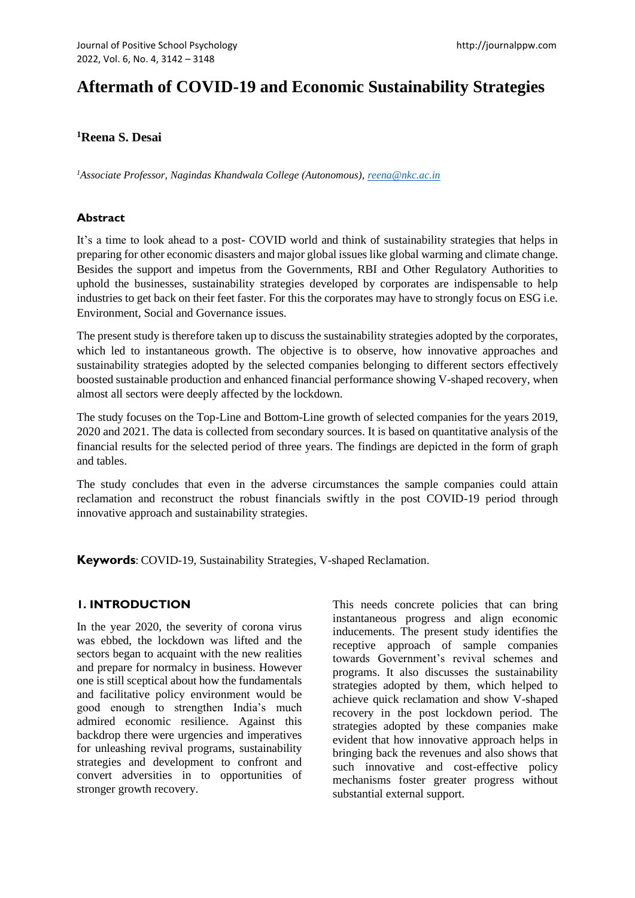# **Aftermath of COVID-19 and Economic Sustainability Strategies**

**<sup>1</sup>Reena S. Desai**

*<sup>1</sup>Associate Professor, Nagindas Khandwala College (Autonomous), [reena@nkc.ac.in](mailto:reena@nkc.ac.in)*

## **Abstract**

It's a time to look ahead to a post- COVID world and think of sustainability strategies that helps in preparing for other economic disasters and major global issues like global warming and climate change. Besides the support and impetus from the Governments, RBI and Other Regulatory Authorities to uphold the businesses, sustainability strategies developed by corporates are indispensable to help industries to get back on their feet faster. For this the corporates may have to strongly focus on ESG i.e. Environment, Social and Governance issues.

The present study is therefore taken up to discuss the sustainability strategies adopted by the corporates, which led to instantaneous growth. The objective is to observe, how innovative approaches and sustainability strategies adopted by the selected companies belonging to different sectors effectively boosted sustainable production and enhanced financial performance showing V-shaped recovery, when almost all sectors were deeply affected by the lockdown.

The study focuses on the Top-Line and Bottom-Line growth of selected companies for the years 2019, 2020 and 2021. The data is collected from secondary sources. It is based on quantitative analysis of the financial results for the selected period of three years. The findings are depicted in the form of graph and tables.

The study concludes that even in the adverse circumstances the sample companies could attain reclamation and reconstruct the robust financials swiftly in the post COVID-19 period through innovative approach and sustainability strategies.

**Keywords**: COVID-19, Sustainability Strategies, V-shaped Reclamation.

## **1. INTRODUCTION**

In the year 2020, the severity of corona virus was ebbed, the lockdown was lifted and the sectors began to acquaint with the new realities and prepare for normalcy in business. However one is still sceptical about how the fundamentals and facilitative policy environment would be good enough to strengthen India's much admired economic resilience. Against this backdrop there were urgencies and imperatives for unleashing revival programs, sustainability strategies and development to confront and convert adversities in to opportunities of stronger growth recovery.

This needs concrete policies that can bring instantaneous progress and align economic inducements. The present study identifies the receptive approach of sample companies towards Government's revival schemes and programs. It also discusses the sustainability strategies adopted by them, which helped to achieve quick reclamation and show V-shaped recovery in the post lockdown period. The strategies adopted by these companies make evident that how innovative approach helps in bringing back the revenues and also shows that such innovative and cost-effective policy mechanisms foster greater progress without substantial external support.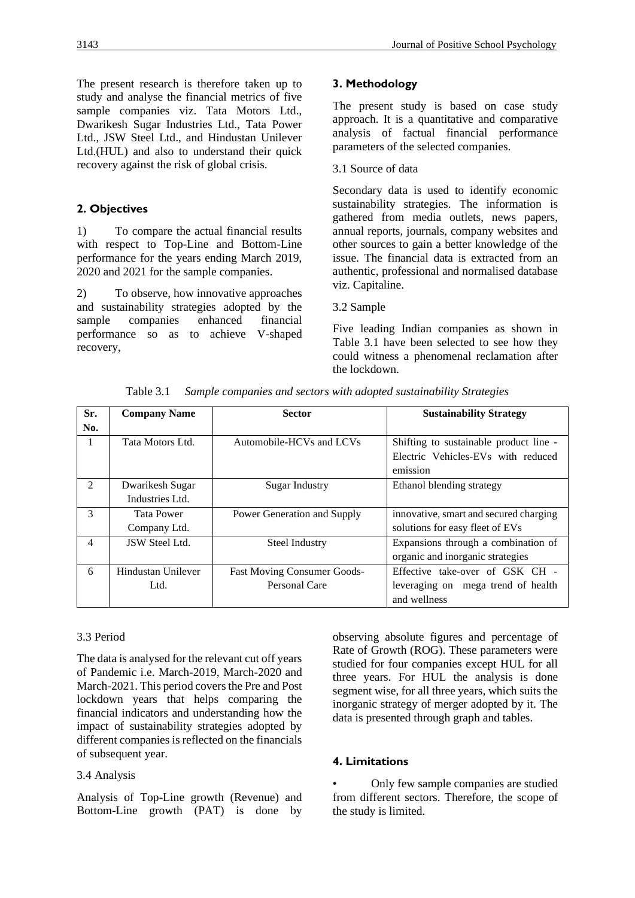The present research is therefore taken up to study and analyse the financial metrics of five sample companies viz. Tata Motors Ltd., Dwarikesh Sugar Industries Ltd., Tata Power Ltd., JSW Steel Ltd., and Hindustan Unilever Ltd.(HUL) and also to understand their quick recovery against the risk of global crisis.

## **2. Objectives**

1) To compare the actual financial results with respect to Top-Line and Bottom-Line performance for the years ending March 2019, 2020 and 2021 for the sample companies.

2) To observe, how innovative approaches and sustainability strategies adopted by the sample companies enhanced financial performance so as to achieve V-shaped recovery,

## **3. Methodology**

The present study is based on case study approach. It is a quantitative and comparative analysis of factual financial performance parameters of the selected companies.

#### 3.1 Source of data

Secondary data is used to identify economic sustainability strategies. The information is gathered from media outlets, news papers, annual reports, journals, company websites and other sources to gain a better knowledge of the issue. The financial data is extracted from an authentic, professional and normalised database viz. Capitaline.

#### 3.2 Sample

Five leading Indian companies as shown in Table 3.1 have been selected to see how they could witness a phenomenal reclamation after the lockdown.

|         | 1 able 3.1<br>Sample companies and sectors with adopted sustainability Strategies |                                    |                                        |  |  |  |
|---------|-----------------------------------------------------------------------------------|------------------------------------|----------------------------------------|--|--|--|
| Sr.     | <b>Company Name</b>                                                               | <b>Sector</b>                      | <b>Sustainability Strategy</b>         |  |  |  |
| No.     |                                                                                   |                                    |                                        |  |  |  |
| 1       | Tata Motors Ltd.                                                                  | Automobile-HCVs and LCVs           | Shifting to sustainable product line - |  |  |  |
|         |                                                                                   |                                    | Electric Vehicles-EVs with reduced     |  |  |  |
|         |                                                                                   |                                    | emission                               |  |  |  |
| $2^{1}$ | Dwarikesh Sugar                                                                   | Sugar Industry                     | Ethanol blending strategy              |  |  |  |
|         | Industries Ltd.                                                                   |                                    |                                        |  |  |  |
| 3       | <b>Tata Power</b>                                                                 | Power Generation and Supply        | innovative, smart and secured charging |  |  |  |
|         | Company Ltd.                                                                      |                                    | solutions for easy fleet of EVs        |  |  |  |
| 4       | <b>JSW Steel Ltd.</b>                                                             | Steel Industry                     | Expansions through a combination of    |  |  |  |
|         |                                                                                   |                                    | organic and inorganic strategies       |  |  |  |
| 6       | Hindustan Unilever                                                                | <b>Fast Moving Consumer Goods-</b> | Effective take-over of GSK CH -        |  |  |  |
|         | Ltd.                                                                              | Personal Care                      | leveraging on mega trend of health     |  |  |  |

Table 3.1 *Sample companies and sectors with adopted sustainability Strategies*

#### 3.3 Period

The data is analysed for the relevant cut off years of Pandemic i.e. March-2019, March-2020 and March-2021. This period covers the Pre and Post lockdown years that helps comparing the financial indicators and understanding how the impact of sustainability strategies adopted by different companies is reflected on the financials of subsequent year.

#### 3.4 Analysis

Analysis of Top-Line growth (Revenue) and Bottom-Line growth (PAT) is done by observing absolute figures and percentage of Rate of Growth (ROG). These parameters were studied for four companies except HUL for all three years. For HUL the analysis is done segment wise, for all three years, which suits the inorganic strategy of merger adopted by it. The data is presented through graph and tables.

and wellness

## **4. Limitations**

• Only few sample companies are studied from different sectors. Therefore, the scope of the study is limited.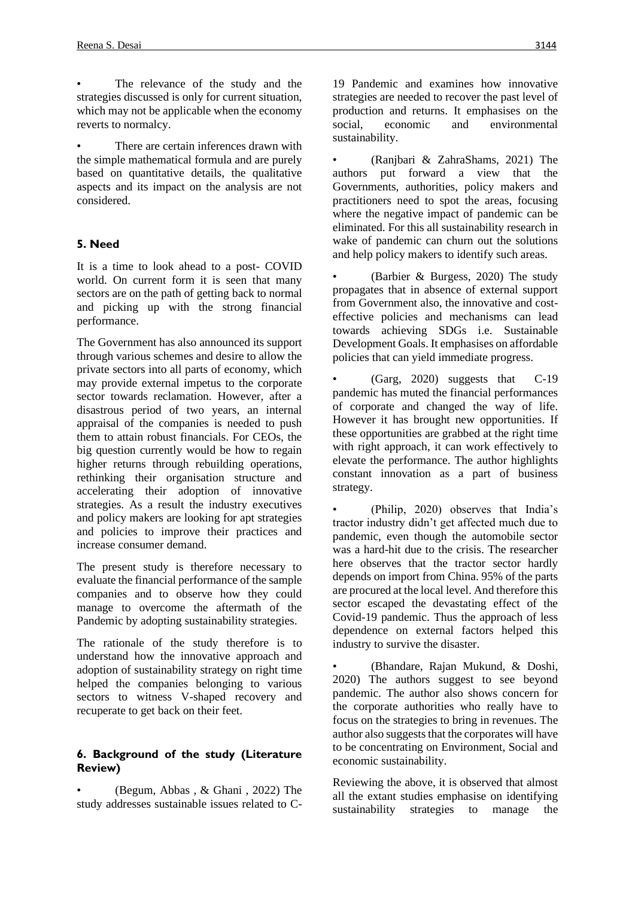The relevance of the study and the strategies discussed is only for current situation, which may not be applicable when the economy reverts to normalcy.

There are certain inferences drawn with the simple mathematical formula and are purely based on quantitative details, the qualitative aspects and its impact on the analysis are not considered.

## **5. Need**

It is a time to look ahead to a post- COVID world. On current form it is seen that many sectors are on the path of getting back to normal and picking up with the strong financial performance.

The Government has also announced its support through various schemes and desire to allow the private sectors into all parts of economy, which may provide external impetus to the corporate sector towards reclamation. However, after a disastrous period of two years, an internal appraisal of the companies is needed to push them to attain robust financials. For CEOs, the big question currently would be how to regain higher returns through rebuilding operations, rethinking their organisation structure and accelerating their adoption of innovative strategies. As a result the industry executives and policy makers are looking for apt strategies and policies to improve their practices and increase consumer demand.

The present study is therefore necessary to evaluate the financial performance of the sample companies and to observe how they could manage to overcome the aftermath of the Pandemic by adopting sustainability strategies.

The rationale of the study therefore is to understand how the innovative approach and adoption of sustainability strategy on right time helped the companies belonging to various sectors to witness V-shaped recovery and recuperate to get back on their feet.

## **6. Background of the study (Literature Review)**

• (Begum, Abbas , & Ghani , 2022) The study addresses sustainable issues related to C-

19 Pandemic and examines how innovative strategies are needed to recover the past level of production and returns. It emphasises on the social economic and environmental sustainability.

• (Ranjbari & ZahraShams, 2021) The authors put forward a view that the Governments, authorities, policy makers and practitioners need to spot the areas, focusing where the negative impact of pandemic can be eliminated. For this all sustainability research in wake of pandemic can churn out the solutions and help policy makers to identify such areas.

(Barbier  $\&$  Burgess, 2020) The study propagates that in absence of external support from Government also, the innovative and costeffective policies and mechanisms can lead towards achieving SDGs i.e. Sustainable Development Goals. It emphasises on affordable policies that can yield immediate progress.

• (Garg, 2020) suggests that C-19 pandemic has muted the financial performances of corporate and changed the way of life. However it has brought new opportunities. If these opportunities are grabbed at the right time with right approach, it can work effectively to elevate the performance. The author highlights constant innovation as a part of business strategy.

• (Philip, 2020) observes that India's tractor industry didn't get affected much due to pandemic, even though the automobile sector was a hard-hit due to the crisis. The researcher here observes that the tractor sector hardly depends on import from China. 95% of the parts are procured at the local level. And therefore this sector escaped the devastating effect of the Covid-19 pandemic. Thus the approach of less dependence on external factors helped this industry to survive the disaster.

• (Bhandare, Rajan Mukund, & Doshi, 2020) The authors suggest to see beyond pandemic. The author also shows concern for the corporate authorities who really have to focus on the strategies to bring in revenues. The author also suggests that the corporates will have to be concentrating on Environment, Social and economic sustainability.

Reviewing the above, it is observed that almost all the extant studies emphasise on identifying sustainability strategies to manage the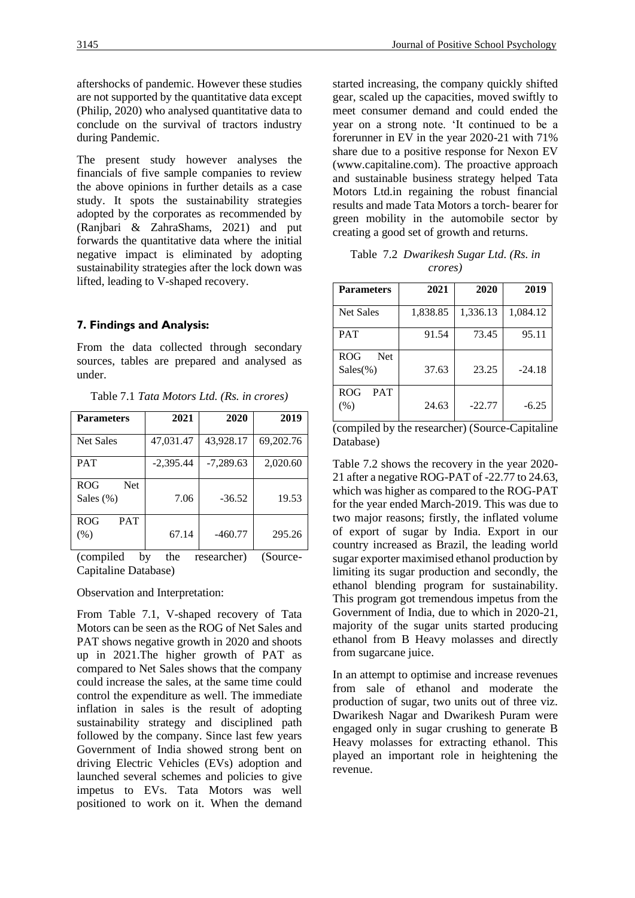are not supported by the quantitative data except (Philip, 2020) who analysed quantitative data to conclude on the survival of tractors industry during Pandemic.

The present study however analyses the financials of five sample companies to review the above opinions in further details as a case study. It spots the sustainability strategies adopted by the corporates as recommended by (Ranjbari & ZahraShams, 2021) and put forwards the quantitative data where the initial negative impact is eliminated by adopting sustainability strategies after the lock down was lifted, leading to V-shaped recovery.

## **7. Findings and Analysis:**

From the data collected through secondary sources, tables are prepared and analysed as under.

| <b>Parameters</b>                 | 2021        | 2020        | 2019      |
|-----------------------------------|-------------|-------------|-----------|
| <b>Net Sales</b>                  | 47,031.47   | 43,928.17   | 69,202.76 |
| <b>PAT</b>                        | $-2,395.44$ | $-7,289.63$ | 2,020.60  |
| <b>ROG</b><br>Net<br>Sales $(\%)$ | 7.06        | $-36.52$    | 19.53     |
| <b>ROG</b><br><b>PAT</b><br>(% )  | 67.14       | $-460.77$   | 295.26    |

Table 7.1 *Tata Motors Ltd. (Rs. in crores)*

(compiled by the researcher) (Source-Capitaline Database)

#### Observation and Interpretation:

From Table 7.1, V-shaped recovery of Tata Motors can be seen as the ROG of Net Sales and PAT shows negative growth in 2020 and shoots up in 2021.The higher growth of PAT as compared to Net Sales shows that the company could increase the sales, at the same time could control the expenditure as well. The immediate inflation in sales is the result of adopting sustainability strategy and disciplined path followed by the company. Since last few years Government of India showed strong bent on driving Electric Vehicles (EVs) adoption and launched several schemes and policies to give impetus to EVs. Tata Motors was well positioned to work on it. When the demand started increasing, the company quickly shifted gear, scaled up the capacities, moved swiftly to meet consumer demand and could ended the year on a strong note. 'It continued to be a forerunner in EV in the year 2020-21 with 71% share due to a positive response for Nexon EV (www.capitaline.com). The proactive approach and sustainable business strategy helped Tata Motors Ltd.in regaining the robust financial results and made Tata Motors a torch- bearer for green mobility in the automobile sector by creating a good set of growth and returns.

Table 7.2 *Dwarikesh Sugar Ltd. (Rs. in crores)*

| <b>Parameters</b>                       | 2021     | 2020     | 2019     |
|-----------------------------------------|----------|----------|----------|
| <b>Net Sales</b>                        | 1,838.85 | 1,336.13 | 1,084.12 |
| <b>PAT</b>                              | 91.54    | 73.45    | 95.11    |
| <b>ROG</b><br><b>Net</b><br>$Sales(\%)$ | 37.63    | 23.25    | $-24.18$ |
| <b>ROG</b><br><b>PAT</b><br>(% )        | 24.63    | $-22.77$ | $-6.25$  |

(compiled by the researcher) (Source-Capitaline Database)

Table 7.2 shows the recovery in the year 2020- 21 after a negative ROG-PAT of -22.77 to 24.63, which was higher as compared to the ROG-PAT for the year ended March-2019. This was due to two major reasons; firstly, the inflated volume of export of sugar by India. Export in our country increased as Brazil, the leading world sugar exporter maximised ethanol production by limiting its sugar production and secondly, the ethanol blending program for sustainability. This program got tremendous impetus from the Government of India, due to which in 2020-21, majority of the sugar units started producing ethanol from B Heavy molasses and directly from sugarcane juice.

In an attempt to optimise and increase revenues from sale of ethanol and moderate the production of sugar, two units out of three viz. Dwarikesh Nagar and Dwarikesh Puram were engaged only in sugar crushing to generate B Heavy molasses for extracting ethanol. This played an important role in heightening the revenue.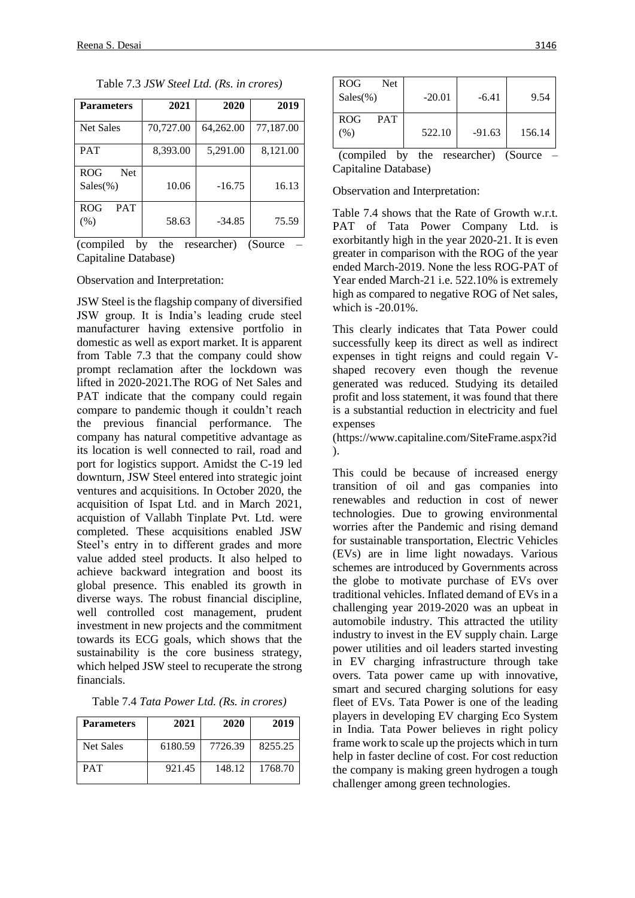| <b>Parameters</b>                       | 2021      | 2020      | 2019      |
|-----------------------------------------|-----------|-----------|-----------|
| <b>Net Sales</b>                        | 70,727.00 | 64,262.00 | 77,187.00 |
| <b>PAT</b>                              | 8,393.00  | 5,291.00  | 8,121.00  |
| <b>ROG</b><br><b>Net</b><br>$Sales(\%)$ | 10.06     | $-16.75$  | 16.13     |
| <b>ROG</b><br><b>PAT</b><br>(% )        | 58.63     | $-34.85$  | 75.59     |

Table 7.3 *JSW Steel Ltd. (Rs. in crores)*

(compiled by the researcher) (Source – Capitaline Database)

Observation and Interpretation:

JSW Steel is the flagship company of diversified JSW group. It is India's leading crude steel manufacturer having extensive portfolio in domestic as well as export market. It is apparent from Table 7.3 that the company could show prompt reclamation after the lockdown was lifted in 2020-2021.The ROG of Net Sales and PAT indicate that the company could regain compare to pandemic though it couldn't reach the previous financial performance. The company has natural competitive advantage as its location is well connected to rail, road and port for logistics support. Amidst the C-19 led downturn, JSW Steel entered into strategic joint ventures and acquisitions. In October 2020, the acquisition of Ispat Ltd. and in March 2021, acquistion of Vallabh Tinplate Pvt. Ltd. were completed. These acquisitions enabled JSW Steel's entry in to different grades and more value added steel products. It also helped to achieve backward integration and boost its global presence. This enabled its growth in diverse ways. The robust financial discipline, well controlled cost management, prudent investment in new projects and the commitment towards its ECG goals, which shows that the sustainability is the core business strategy, which helped JSW steel to recuperate the strong financials.

Table 7.4 *Tata Power Ltd. (Rs. in crores)*

| <b>Parameters</b> | 2021    | 2020    | 2019    |
|-------------------|---------|---------|---------|
| <b>Net Sales</b>  | 6180.59 | 7726.39 | 8255.25 |
| PAT               | 921.45  | 148.12  | 1768.70 |

| <b>ROG</b>                               | Net |          |          |        |
|------------------------------------------|-----|----------|----------|--------|
| $Sales(\% )$                             |     | $-20.01$ | $-6.41$  | 9.54   |
|                                          |     |          |          |        |
| <b>ROG</b><br><b>PAT</b>                 |     |          |          |        |
| (% )                                     |     | 522.10   | $-91.63$ | 156.14 |
|                                          |     |          |          |        |
| (compiled)<br>by the researcher) (Source |     |          |          |        |

Capitaline Database)

Observation and Interpretation:

Table 7.4 shows that the Rate of Growth w.r.t. PAT of Tata Power Company Ltd. is exorbitantly high in the year 2020-21. It is even greater in comparison with the ROG of the year ended March-2019. None the less ROG-PAT of Year ended March-21 i.e. 522.10% is extremely high as compared to negative ROG of Net sales, which is -20.01%.

This clearly indicates that Tata Power could successfully keep its direct as well as indirect expenses in tight reigns and could regain Vshaped recovery even though the revenue generated was reduced. Studying its detailed profit and loss statement, it was found that there is a substantial reduction in electricity and fuel expenses

(https://www.capitaline.com/SiteFrame.aspx?id ).

This could be because of increased energy transition of oil and gas companies into renewables and reduction in cost of newer technologies. Due to growing environmental worries after the Pandemic and rising demand for sustainable transportation, Electric Vehicles (EVs) are in lime light nowadays. Various schemes are introduced by Governments across the globe to motivate purchase of EVs over traditional vehicles. Inflated demand of EVs in a challenging year 2019-2020 was an upbeat in automobile industry. This attracted the utility industry to invest in the EV supply chain. Large power utilities and oil leaders started investing in EV charging infrastructure through take overs. Tata power came up with innovative, smart and secured charging solutions for easy fleet of EVs. Tata Power is one of the leading players in developing EV charging Eco System in India. Tata Power believes in right policy frame work to scale up the projects which in turn help in faster decline of cost. For cost reduction the company is making green hydrogen a tough challenger among green technologies.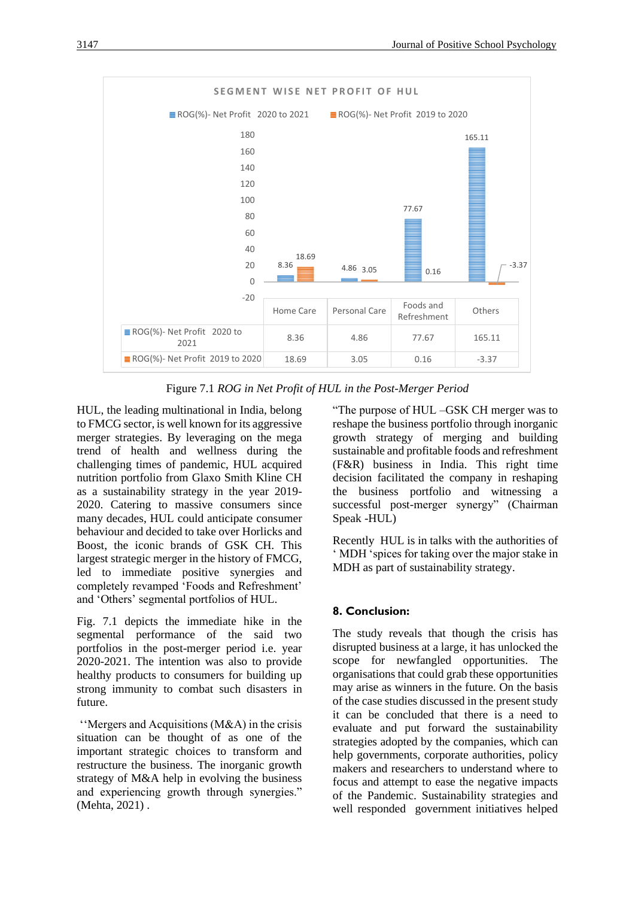

Figure 7.1 *ROG in Net Profit of HUL in the Post-Merger Period*

HUL, the leading multinational in India, belong to FMCG sector, is well known for its aggressive merger strategies. By leveraging on the mega trend of health and wellness during the challenging times of pandemic, HUL acquired nutrition portfolio from Glaxo Smith Kline CH as a sustainability strategy in the year 2019- 2020. Catering to massive consumers since many decades, HUL could anticipate consumer behaviour and decided to take over Horlicks and Boost, the iconic brands of GSK CH. This largest strategic merger in the history of FMCG, led to immediate positive synergies and completely revamped 'Foods and Refreshment' and 'Others' segmental portfolios of HUL.

Fig. 7.1 depicts the immediate hike in the segmental performance of the said two portfolios in the post-merger period i.e. year 2020-2021. The intention was also to provide healthy products to consumers for building up strong immunity to combat such disasters in future.

''Mergers and Acquisitions (M&A) in the crisis situation can be thought of as one of the important strategic choices to transform and restructure the business. The inorganic growth strategy of M&A help in evolving the business and experiencing growth through synergies." (Mehta, 2021) .

"The purpose of HUL –GSK CH merger was to reshape the business portfolio through inorganic growth strategy of merging and building sustainable and profitable foods and refreshment (F&R) business in India. This right time decision facilitated the company in reshaping the business portfolio and witnessing a successful post-merger synergy" (Chairman Speak -HUL)

Recently HUL is in talks with the authorities of ' MDH 'spices for taking over the major stake in MDH as part of sustainability strategy.

## **8. Conclusion:**

The study reveals that though the crisis has disrupted business at a large, it has unlocked the scope for newfangled opportunities. The organisations that could grab these opportunities may arise as winners in the future. On the basis of the case studies discussed in the present study it can be concluded that there is a need to evaluate and put forward the sustainability strategies adopted by the companies, which can help governments, corporate authorities, policy makers and researchers to understand where to focus and attempt to ease the negative impacts of the Pandemic. Sustainability strategies and well responded government initiatives helped